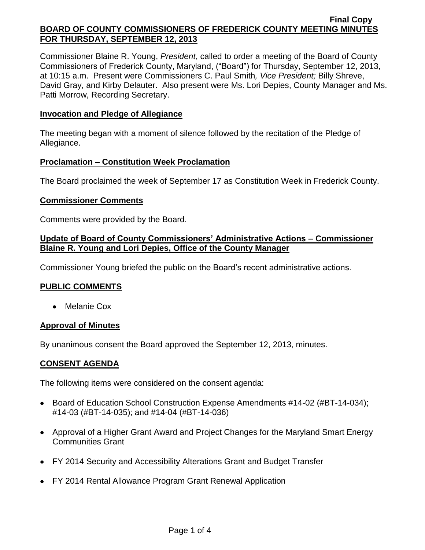Commissioner Blaine R. Young, *President*, called to order a meeting of the Board of County Commissioners of Frederick County, Maryland, ("Board") for Thursday, September 12, 2013, at 10:15 a.m. Present were Commissioners C. Paul Smith*, Vice President;* Billy Shreve, David Gray, and Kirby Delauter. Also present were Ms. Lori Depies, County Manager and Ms. Patti Morrow, Recording Secretary.

## **Invocation and Pledge of Allegiance**

The meeting began with a moment of silence followed by the recitation of the Pledge of Allegiance.

### **Proclamation – Constitution Week Proclamation**

The Board proclaimed the week of September 17 as Constitution Week in Frederick County.

### **Commissioner Comments**

Comments were provided by the Board.

## **Update of Board of County Commissioners' Administrative Actions – Commissioner Blaine R. Young and Lori Depies, Office of the County Manager**

Commissioner Young briefed the public on the Board's recent administrative actions.

## **PUBLIC COMMENTS**

• Melanie Cox

### **Approval of Minutes**

By unanimous consent the Board approved the September 12, 2013, minutes.

## **CONSENT AGENDA**

The following items were considered on the consent agenda:

- Board of Education School Construction Expense Amendments #14-02 (#BT-14-034); #14-03 (#BT-14-035); and #14-04 (#BT-14-036)
- Approval of a Higher Grant Award and Project Changes for the Maryland Smart Energy Communities Grant
- FY 2014 Security and Accessibility Alterations Grant and Budget Transfer
- FY 2014 Rental Allowance Program Grant Renewal Application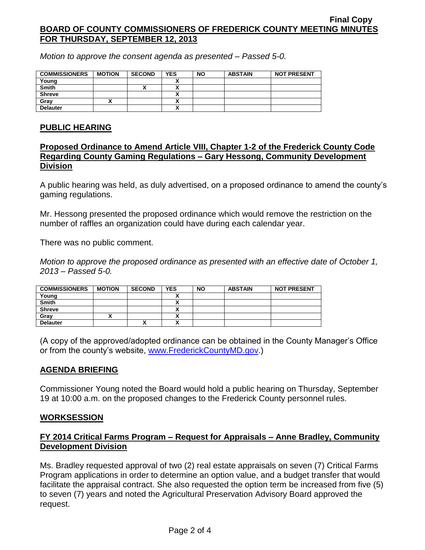*Motion to approve the consent agenda as presented – Passed 5-0.*

| <b>COMMISSIONERS</b> | <b>MOTION</b> | <b>SECOND</b> | <b>YES</b> | <b>NO</b> | <b>ABSTAIN</b> | <b>NOT PRESENT</b> |
|----------------------|---------------|---------------|------------|-----------|----------------|--------------------|
| Young                |               |               |            |           |                |                    |
| <b>Smith</b>         |               |               |            |           |                |                    |
| <b>Shreve</b>        |               |               |            |           |                |                    |
| Grav                 |               |               |            |           |                |                    |
| <b>Delauter</b>      |               |               |            |           |                |                    |

# **PUBLIC HEARING**

## **Proposed Ordinance to Amend Article VIII, Chapter 1-2 of the Frederick County Code Regarding County Gaming Regulations – Gary Hessong, Community Development Division**

A public hearing was held, as duly advertised, on a proposed ordinance to amend the county's gaming regulations.

Mr. Hessong presented the proposed ordinance which would remove the restriction on the number of raffles an organization could have during each calendar year.

There was no public comment.

*Motion to approve the proposed ordinance as presented with an effective date of October 1, 2013 – Passed 5-0.*

| <b>COMMISSIONERS</b> | <b>MOTION</b> | <b>SECOND</b> | <b>YES</b> | <b>NO</b> | <b>ABSTAIN</b> | <b>NOT PRESENT</b> |
|----------------------|---------------|---------------|------------|-----------|----------------|--------------------|
| Young                |               |               |            |           |                |                    |
| <b>Smith</b>         |               |               | ~          |           |                |                    |
| <b>Shreve</b>        |               |               |            |           |                |                    |
| Grav                 |               |               |            |           |                |                    |
| <b>Delauter</b>      |               |               |            |           |                |                    |

(A copy of the approved/adopted ordinance can be obtained in the County Manager's Office or from the county's website, [www.FrederickCountyMD.gov.](http://www.frederickcountymd.gov/))

# **AGENDA BRIEFING**

Commissioner Young noted the Board would hold a public hearing on Thursday, September 19 at 10:00 a.m. on the proposed changes to the Frederick County personnel rules.

## **WORKSESSION**

# **FY 2014 Critical Farms Program – Request for Appraisals – Anne Bradley, Community Development Division**

Ms. Bradley requested approval of two (2) real estate appraisals on seven (7) Critical Farms Program applications in order to determine an option value, and a budget transfer that would facilitate the appraisal contract. She also requested the option term be increased from five (5) to seven (7) years and noted the Agricultural Preservation Advisory Board approved the request.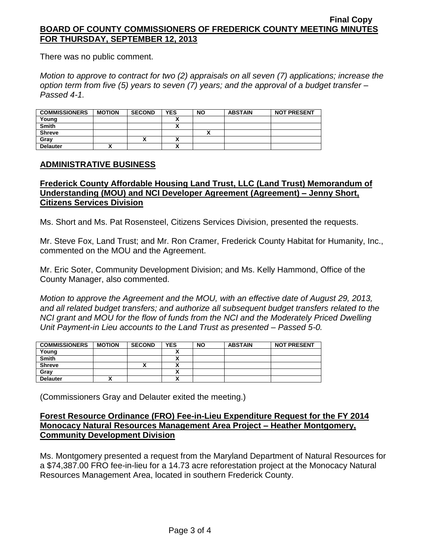There was no public comment.

*Motion to approve to contract for two (2) appraisals on all seven (7) applications; increase the option term from five (5) years to seven (7) years; and the approval of a budget transfer – Passed 4-1.*

| <b>COMMISSIONERS</b> | <b>MOTION</b> | <b>SECOND</b> | <b>YES</b>               | <b>NO</b> | <b>ABSTAIN</b> | <b>NOT PRESENT</b> |
|----------------------|---------------|---------------|--------------------------|-----------|----------------|--------------------|
| Young                |               |               |                          |           |                |                    |
| <b>Smith</b>         |               |               |                          |           |                |                    |
| <b>Shreve</b>        |               |               |                          |           |                |                    |
| Grav                 |               |               | $\overline{\phantom{a}}$ |           |                |                    |
| <b>Delauter</b>      |               |               |                          |           |                |                    |

## **ADMINISTRATIVE BUSINESS**

## **Frederick County Affordable Housing Land Trust, LLC (Land Trust) Memorandum of Understanding (MOU) and NCI Developer Agreement (Agreement) – Jenny Short, Citizens Services Division**

Ms. Short and Ms. Pat Rosensteel, Citizens Services Division, presented the requests.

Mr. Steve Fox, Land Trust; and Mr. Ron Cramer, Frederick County Habitat for Humanity, Inc., commented on the MOU and the Agreement.

Mr. Eric Soter, Community Development Division; and Ms. Kelly Hammond, Office of the County Manager, also commented.

*Motion to approve the Agreement and the MOU, with an effective date of August 29, 2013, and all related budget transfers; and authorize all subsequent budget transfers related to the NCI grant and MOU for the flow of funds from the NCI and the Moderately Priced Dwelling Unit Payment-in Lieu accounts to the Land Trust as presented – Passed 5-0.*

| <b>COMMISSIONERS</b> | <b>MOTION</b> | <b>SECOND</b> | <b>YES</b> | <b>NO</b> | <b>ABSTAIN</b> | <b>NOT PRESENT</b> |
|----------------------|---------------|---------------|------------|-----------|----------------|--------------------|
| Young                |               |               |            |           |                |                    |
| <b>Smith</b>         |               |               |            |           |                |                    |
| <b>Shreve</b>        |               | ́             |            |           |                |                    |
| Gray                 |               |               |            |           |                |                    |
| <b>Delauter</b>      |               |               | ~          |           |                |                    |

(Commissioners Gray and Delauter exited the meeting.)

## **Forest Resource Ordinance (FRO) Fee-in-Lieu Expenditure Request for the FY 2014 Monocacy Natural Resources Management Area Project – Heather Montgomery, Community Development Division**

Ms. Montgomery presented a request from the Maryland Department of Natural Resources for a \$74,387.00 FRO fee-in-lieu for a 14.73 acre reforestation project at the Monocacy Natural Resources Management Area, located in southern Frederick County.